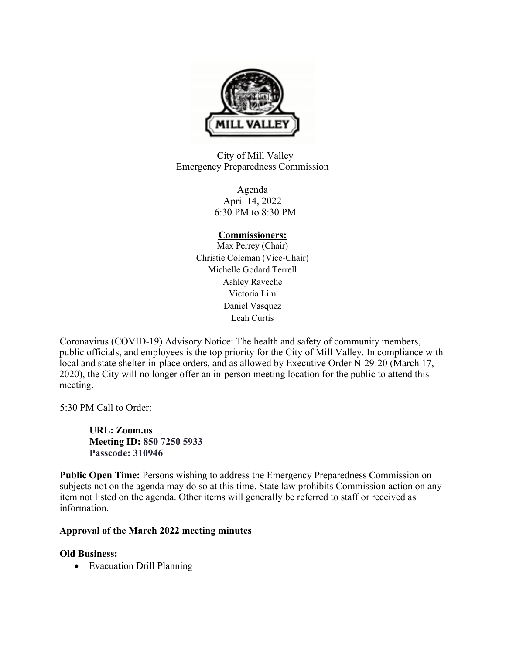

City of Mill Valley Emergency Preparedness Commission

> Agenda April 14, 2022 6:30 PM to 8:30 PM

# **Commissioners:**

Max Perrey (Chair) Christie Coleman (Vice-Chair) Michelle Godard Terrell Ashley Raveche Victoria Lim Daniel Vasquez Leah Curtis

Coronavirus (COVID-19) Advisory Notice: The health and safety of community members, public officials, and employees is the top priority for the City of Mill Valley. In compliance with local and state shelter-in-place orders, and as allowed by Executive Order N-29-20 (March 17, 2020), the City will no longer offer an in-person meeting location for the public to attend this meeting.

5:30 PM Call to Order:

**URL: Zoom.us Meeting ID: 850 7250 5933 Passcode: 310946** 

**Public Open Time:** Persons wishing to address the Emergency Preparedness Commission on subjects not on the agenda may do so at this time. State law prohibits Commission action on any item not listed on the agenda. Other items will generally be referred to staff or received as information.

# **Approval of the March 2022 meeting minutes**

# **Old Business:**

• Evacuation Drill Planning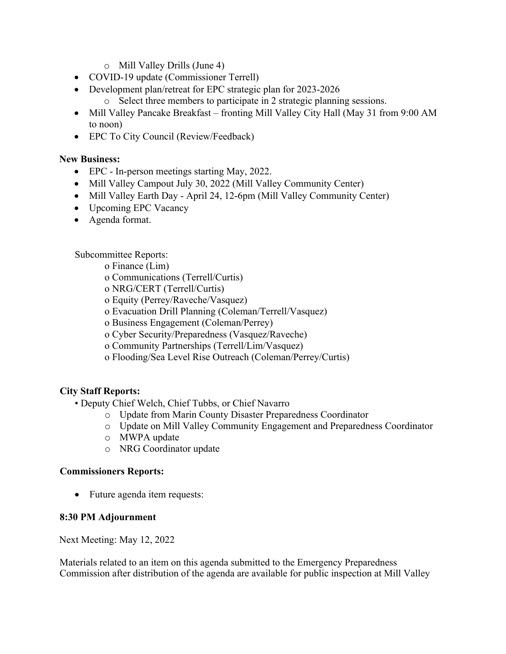- o Mill Valley Drills (June 4)
- COVID-19 update (Commissioner Terrell)
- Development plan/retreat for EPC strategic plan for 2023-2026
	- o Select three members to participate in 2 strategic planning sessions.
- Mill Valley Pancake Breakfast fronting Mill Valley City Hall (May 31 from 9:00 AM to noon)
- EPC To City Council (Review/Feedback)

# **New Business:**

- EPC In-person meetings starting May, 2022.
- Mill Valley Campout July 30, 2022 (Mill Valley Community Center)
- Mill Valley Earth Day April 24, 12-6pm (Mill Valley Community Center)
- Upcoming EPC Vacancy
- Agenda format.

Subcommittee Reports:

o Finance (Lim)

- o Communications (Terrell/Curtis)
- o NRG/CERT (Terrell/Curtis)
- o Equity (Perrey/Raveche/Vasquez)
- o Evacuation Drill Planning (Coleman/Terrell/Vasquez)
- o Business Engagement (Coleman/Perrey)
- o Cyber Security/Preparedness (Vasquez/Raveche)
- o Community Partnerships (Terrell/Lim/Vasquez)
- o Flooding/Sea Level Rise Outreach (Coleman/Perrey/Curtis)

# **City Staff Reports:**

- Deputy Chief Welch, Chief Tubbs, or Chief Navarro
	- o Update from Marin County Disaster Preparedness Coordinator
	- o Update on Mill Valley Community Engagement and Preparedness Coordinator
	- o MWPA update
	- o NRG Coordinator update

## **Commissioners Reports:**

• Future agenda item requests:

## **8:30 PM Adjournment**

Next Meeting: May 12, 2022

Materials related to an item on this agenda submitted to the Emergency Preparedness Commission after distribution of the agenda are available for public inspection at Mill Valley